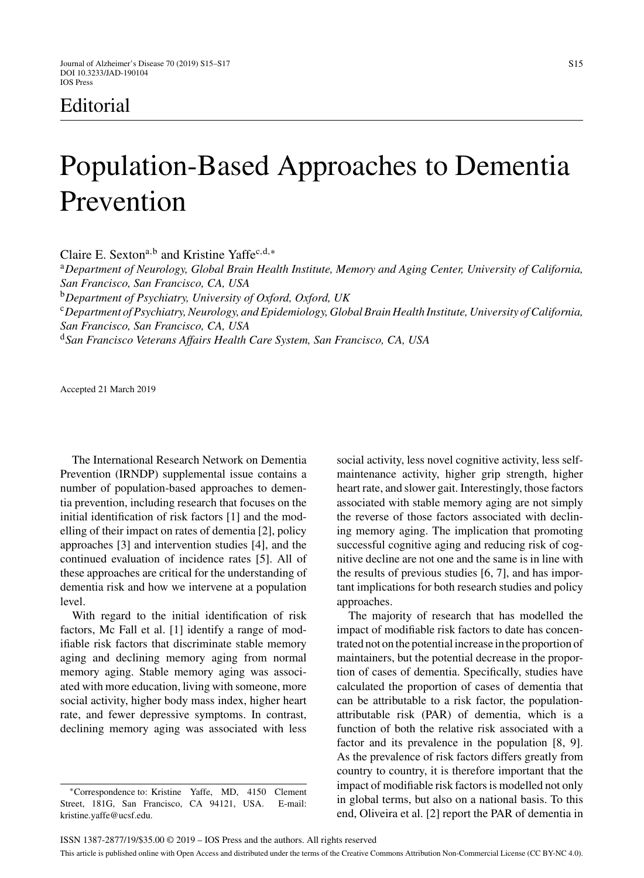## Editorial

## Population-Based Approaches to Dementia Prevention

Claire E. Sexton<sup>a,b</sup> and Kristine Yaffe<sup>c,d,\*</sup>

<sup>a</sup>*Department of Neurology, Global Brain Health Institute, Memory and Aging Center, University of California, San Francisco, San Francisco, CA, USA* <sup>b</sup>*Department of Psychiatry, University of Oxford, Oxford, UK* <sup>c</sup>*Department of Psychiatry, Neurology, and Epidemiology, Global Brain Health Institute, University of California, San Francisco, San Francisco, CA, USA* <sup>d</sup>*San Francisco Veterans Affairs Health Care System, San Francisco, CA, USA*

Accepted 21 March 2019

The International Research Network on Dementia Prevention (IRNDP) supplemental issue contains a number of population-based approaches to dementia prevention, including research that focuses on the initial identification of risk factors [1] and the modelling of their impact on rates of dementia [2], policy approaches [3] and intervention studies [4], and the continued evaluation of incidence rates [5]. All of these approaches are critical for the understanding of dementia risk and how we intervene at a population level.

With regard to the initial identification of risk factors, Mc Fall et al. [1] identify a range of modifiable risk factors that discriminate stable memory aging and declining memory aging from normal memory aging. Stable memory aging was associated with more education, living with someone, more social activity, higher body mass index, higher heart rate, and fewer depressive symptoms. In contrast, declining memory aging was associated with less

social activity, less novel cognitive activity, less selfmaintenance activity, higher grip strength, higher heart rate, and slower gait. Interestingly, those factors associated with stable memory aging are not simply the reverse of those factors associated with declining memory aging. The implication that promoting successful cognitive aging and reducing risk of cognitive decline are not one and the same is in line with the results of previous studies [6, 7], and has important implications for both research studies and policy approaches.

The majority of research that has modelled the impact of modifiable risk factors to date has concentrated not on the potential increase in the proportion of maintainers, but the potential decrease in the proportion of cases of dementia. Specifically, studies have calculated the proportion of cases of dementia that can be attributable to a risk factor, the populationattributable risk (PAR) of dementia, which is a function of both the relative risk associated with a factor and its prevalence in the population [8, 9]. As the prevalence of risk factors differs greatly from country to country, it is therefore important that the impact of modifiable risk factors is modelled not only in global terms, but also on a national basis. To this end, Oliveira et al. [2] report the PAR of dementia in

<sup>∗</sup>Correspondence to: Kristine Yaffe, MD, 4150 Clement Street, 181G, San Francisco, CA 94121, USA. E-mail: [kristine.yaffe@ucsf.edu](mailto:kristine.yaffe@ucsf.edu).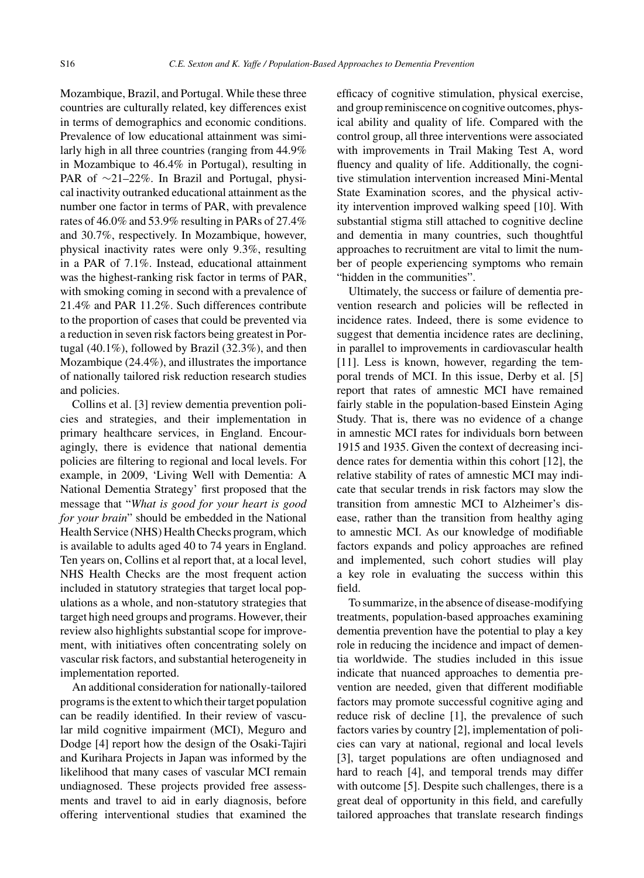Mozambique, Brazil, and Portugal. While these three countries are culturally related, key differences exist in terms of demographics and economic conditions. Prevalence of low educational attainment was similarly high in all three countries (ranging from 44.9% in Mozambique to 46.4% in Portugal), resulting in PAR of ∼21–22%. In Brazil and Portugal, physical inactivity outranked educational attainment as the number one factor in terms of PAR, with prevalence rates of 46.0% and 53.9% resulting in PARs of 27.4% and 30.7%, respectively. In Mozambique, however, physical inactivity rates were only 9.3%, resulting in a PAR of 7.1%. Instead, educational attainment was the highest-ranking risk factor in terms of PAR, with smoking coming in second with a prevalence of 21.4% and PAR 11.2%. Such differences contribute to the proportion of cases that could be prevented via a reduction in seven risk factors being greatest in Portugal (40.1%), followed by Brazil (32.3%), and then Mozambique (24.4%), and illustrates the importance of nationally tailored risk reduction research studies and policies.

Collins et al. [3] review dementia prevention policies and strategies, and their implementation in primary healthcare services, in England. Encouragingly, there is evidence that national dementia policies are filtering to regional and local levels. For example, in 2009, 'Living Well with Dementia: A National Dementia Strategy' first proposed that the message that "*What is good for your heart is good for your brain*" should be embedded in the National Health Service (NHS) Health Checks program, which is available to adults aged 40 to 74 years in England. Ten years on, Collins et al report that, at a local level, NHS Health Checks are the most frequent action included in statutory strategies that target local populations as a whole, and non-statutory strategies that target high need groups and programs. However, their review also highlights substantial scope for improvement, with initiatives often concentrating solely on vascular risk factors, and substantial heterogeneity in implementation reported.

An additional consideration for nationally-tailored programs is the extent to which their target population can be readily identified. In their review of vascular mild cognitive impairment (MCI), Meguro and Dodge [4] report how the design of the Osaki-Tajiri and Kurihara Projects in Japan was informed by the likelihood that many cases of vascular MCI remain undiagnosed. These projects provided free assessments and travel to aid in early diagnosis, before offering interventional studies that examined the efficacy of cognitive stimulation, physical exercise, and group reminiscence on cognitive outcomes, physical ability and quality of life. Compared with the control group, all three interventions were associated with improvements in Trail Making Test A, word fluency and quality of life. Additionally, the cognitive stimulation intervention increased Mini-Mental State Examination scores, and the physical activity intervention improved walking speed [10]. With substantial stigma still attached to cognitive decline and dementia in many countries, such thoughtful approaches to recruitment are vital to limit the number of people experiencing symptoms who remain "hidden in the communities".

Ultimately, the success or failure of dementia prevention research and policies will be reflected in incidence rates. Indeed, there is some evidence to suggest that dementia incidence rates are declining, in parallel to improvements in cardiovascular health [11]. Less is known, however, regarding the temporal trends of MCI. In this issue, Derby et al. [5] report that rates of amnestic MCI have remained fairly stable in the population-based Einstein Aging Study. That is, there was no evidence of a change in amnestic MCI rates for individuals born between 1915 and 1935. Given the context of decreasing incidence rates for dementia within this cohort [12], the relative stability of rates of amnestic MCI may indicate that secular trends in risk factors may slow the transition from amnestic MCI to Alzheimer's disease, rather than the transition from healthy aging to amnestic MCI. As our knowledge of modifiable factors expands and policy approaches are refined and implemented, such cohort studies will play a key role in evaluating the success within this field.

To summarize, in the absence of disease-modifying treatments, population-based approaches examining dementia prevention have the potential to play a key role in reducing the incidence and impact of dementia worldwide. The studies included in this issue indicate that nuanced approaches to dementia prevention are needed, given that different modifiable factors may promote successful cognitive aging and reduce risk of decline [1], the prevalence of such factors varies by country [2], implementation of policies can vary at national, regional and local levels [3], target populations are often undiagnosed and hard to reach [4], and temporal trends may differ with outcome [5]. Despite such challenges, there is a great deal of opportunity in this field, and carefully tailored approaches that translate research findings